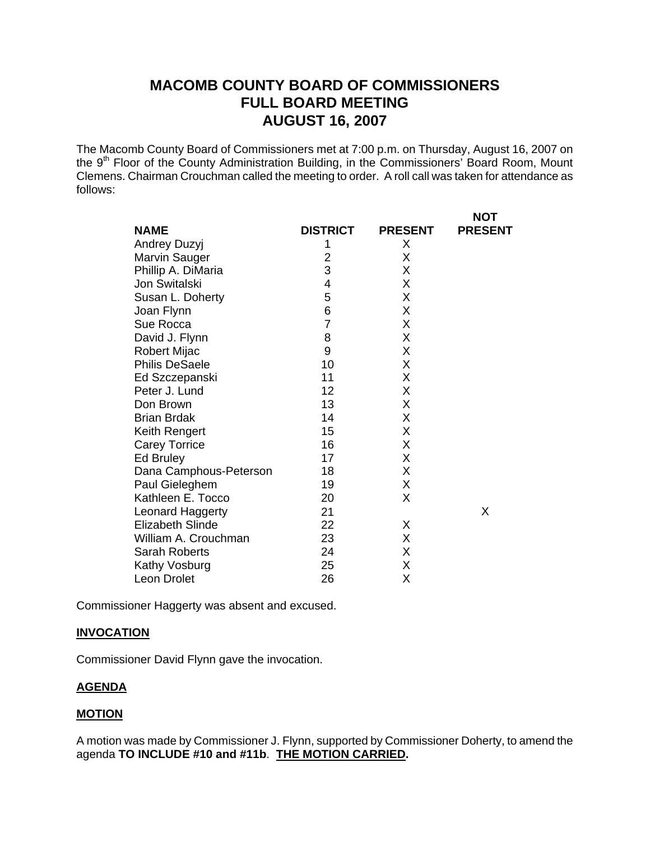# **MACOMB COUNTY BOARD OF COMMISSIONERS FULL BOARD MEETING AUGUST 16, 2007**

The Macomb County Board of Commissioners met at 7:00 p.m. on Thursday, August 16, 2007 on the 9<sup>th</sup> Floor of the County Administration Building, in the Commissioners' Board Room, Mount Clemens. Chairman Crouchman called the meeting to order. A roll call was taken for attendance as follows:

|                         |                 |                | <b>NOT</b>     |
|-------------------------|-----------------|----------------|----------------|
| <b>NAME</b>             | <b>DISTRICT</b> | <b>PRESENT</b> | <b>PRESENT</b> |
| Andrey Duzyj            | 1               | X              |                |
| Marvin Sauger           | $\overline{2}$  | Χ              |                |
| Phillip A. DiMaria      | 3               | Χ              |                |
| <b>Jon Switalski</b>    | 4               | Χ              |                |
| Susan L. Doherty        | 5               | X              |                |
| Joan Flynn              | 6               | Χ              |                |
| Sue Rocca               | $\overline{7}$  | Χ              |                |
| David J. Flynn          | 8               | Χ              |                |
| Robert Mijac            | 9               | X              |                |
| <b>Philis DeSaele</b>   | 10              | Χ              |                |
| Ed Szczepanski          | 11              | X              |                |
| Peter J. Lund           | 12              | X              |                |
| Don Brown               | 13              | Χ              |                |
| <b>Brian Brdak</b>      | 14              | Χ              |                |
| Keith Rengert           | 15              | X              |                |
| <b>Carey Torrice</b>    | 16              | X              |                |
| Ed Bruley               | 17              | X              |                |
| Dana Camphous-Peterson  | 18              | X              |                |
| Paul Gieleghem          | 19              | X              |                |
| Kathleen E. Tocco       | 20              | X              |                |
| Leonard Haggerty        | 21              |                | X              |
| <b>Elizabeth Slinde</b> | 22              | X              |                |
| William A. Crouchman    | 23              | Χ              |                |
| <b>Sarah Roberts</b>    | 24              | Χ              |                |
| Kathy Vosburg           | 25              | Χ              |                |
| Leon Drolet             | 26              | Χ              |                |

Commissioner Haggerty was absent and excused.

#### **INVOCATION**

Commissioner David Flynn gave the invocation.

## **AGENDA**

### **MOTION**

A motion was made by Commissioner J. Flynn, supported by Commissioner Doherty, to amend the agenda **TO INCLUDE #10 and #11b**. **THE MOTION CARRIED.**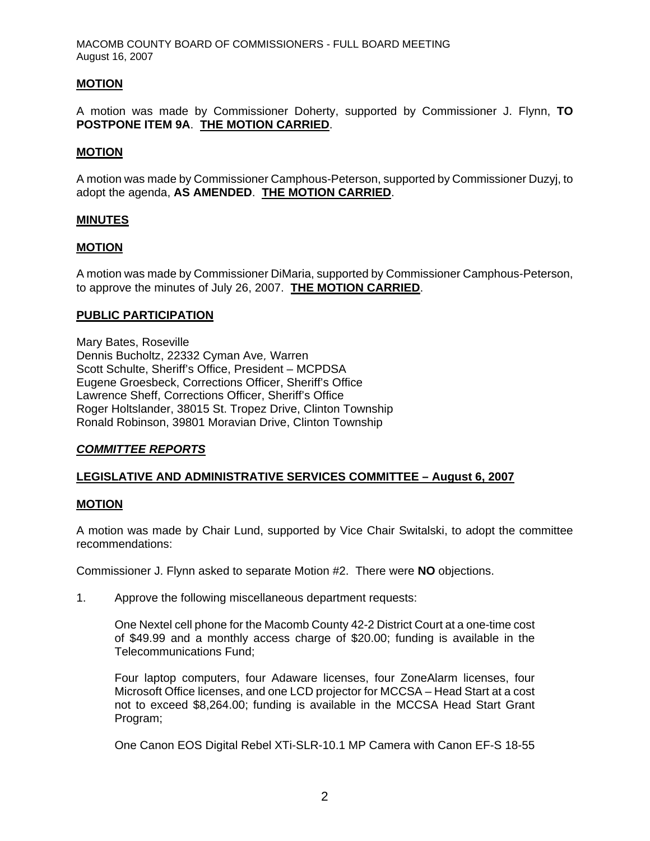MACOMB COUNTY BOARD OF COMMISSIONERS - FULL BOARD MEETING August 16, 2007

### **MOTION**

A motion was made by Commissioner Doherty, supported by Commissioner J. Flynn, **TO POSTPONE ITEM 9A**. **THE MOTION CARRIED**.

#### **MOTION**

A motion was made by Commissioner Camphous-Peterson, supported by Commissioner Duzyj, to adopt the agenda, **AS AMENDED**. **THE MOTION CARRIED**.

#### **MINUTES**

#### **MOTION**

A motion was made by Commissioner DiMaria, supported by Commissioner Camphous-Peterson, to approve the minutes of July 26, 2007. **THE MOTION CARRIED**.

### **PUBLIC PARTICIPATION**

Mary Bates, Roseville Dennis Bucholtz, 22332 Cyman Ave, Warren Scott Schulte, Sheriff's Office, President – MCPDSA Eugene Groesbeck, Corrections Officer, Sheriff's Office Lawrence Sheff, Corrections Officer, Sheriff's Office Roger Holtslander, 38015 St. Tropez Drive, Clinton Township Ronald Robinson, 39801 Moravian Drive, Clinton Township

## *COMMITTEE REPORTS*

## **LEGISLATIVE AND ADMINISTRATIVE SERVICES COMMITTEE – August 6, 2007**

#### **MOTION**

A motion was made by Chair Lund, supported by Vice Chair Switalski, to adopt the committee recommendations:

Commissioner J. Flynn asked to separate Motion #2. There were **NO** objections.

1. Approve the following miscellaneous department requests:

One Nextel cell phone for the Macomb County 42-2 District Court at a one-time cost of \$49.99 and a monthly access charge of \$20.00; funding is available in the Telecommunications Fund;

Four laptop computers, four Adaware licenses, four ZoneAlarm licenses, four Microsoft Office licenses, and one LCD projector for MCCSA – Head Start at a cost not to exceed \$8,264.00; funding is available in the MCCSA Head Start Grant Program;

One Canon EOS Digital Rebel XTi-SLR-10.1 MP Camera with Canon EF-S 18-55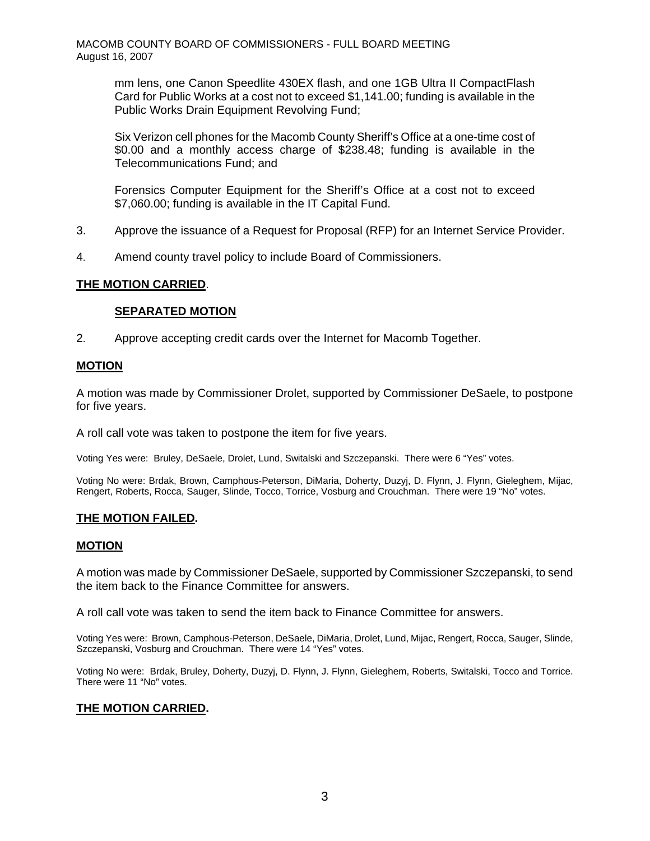mm lens, one Canon Speedlite 430EX flash, and one 1GB Ultra II CompactFlash Card for Public Works at a cost not to exceed \$1,141.00; funding is available in the Public Works Drain Equipment Revolving Fund;

Six Verizon cell phones for the Macomb County Sheriff's Office at a one-time cost of \$0.00 and a monthly access charge of \$238.48; funding is available in the Telecommunications Fund; and

Forensics Computer Equipment for the Sheriff's Office at a cost not to exceed \$7,060.00; funding is available in the IT Capital Fund.

- 3. Approve the issuance of a Request for Proposal (RFP) for an Internet Service Provider.
- 4. Amend county travel policy to include Board of Commissioners.

### **THE MOTION CARRIED**.

### **SEPARATED MOTION**

2. Approve accepting credit cards over the Internet for Macomb Together.

#### **MOTION**

A motion was made by Commissioner Drolet, supported by Commissioner DeSaele, to postpone for five years.

A roll call vote was taken to postpone the item for five years.

Voting Yes were: Bruley, DeSaele, Drolet, Lund, Switalski and Szczepanski. There were 6 "Yes" votes.

Voting No were: Brdak, Brown, Camphous-Peterson, DiMaria, Doherty, Duzyj, D. Flynn, J. Flynn, Gieleghem, Mijac, Rengert, Roberts, Rocca, Sauger, Slinde, Tocco, Torrice, Vosburg and Crouchman. There were 19 "No" votes.

#### **THE MOTION FAILED.**

#### **MOTION**

A motion was made by Commissioner DeSaele, supported by Commissioner Szczepanski, to send the item back to the Finance Committee for answers.

A roll call vote was taken to send the item back to Finance Committee for answers.

Voting Yes were: Brown, Camphous-Peterson, DeSaele, DiMaria, Drolet, Lund, Mijac, Rengert, Rocca, Sauger, Slinde, Szczepanski, Vosburg and Crouchman. There were 14 "Yes" votes.

Voting No were: Brdak, Bruley, Doherty, Duzyj, D. Flynn, J. Flynn, Gieleghem, Roberts, Switalski, Tocco and Torrice. There were 11 "No" votes.

#### **THE MOTION CARRIED.**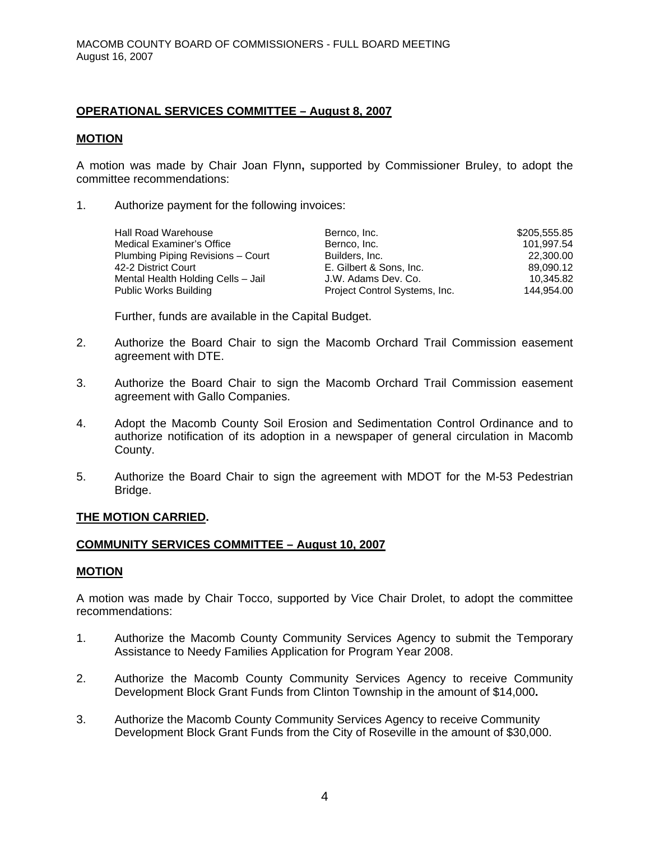## **OPERATIONAL SERVICES COMMITTEE – August 8, 2007**

#### **MOTION**

A motion was made by Chair Joan Flynn**,** supported by Commissioner Bruley, to adopt the committee recommendations:

1. Authorize payment for the following invoices:

| Hall Road Warehouse<br>Medical Examiner's Office<br>Plumbing Piping Revisions - Court<br>42-2 District Court<br>Mental Health Holding Cells - Jail | Bernco, Inc.<br>Bernco, Inc.<br>Builders, Inc.<br>E. Gilbert & Sons, Inc.<br>J.W. Adams Dev. Co. | \$205,555.85<br>101.997.54<br>22,300.00<br>89,090.12<br>10.345.82 |
|----------------------------------------------------------------------------------------------------------------------------------------------------|--------------------------------------------------------------------------------------------------|-------------------------------------------------------------------|
| <b>Public Works Building</b>                                                                                                                       | Project Control Systems, Inc.                                                                    | 144.954.00                                                        |
|                                                                                                                                                    |                                                                                                  |                                                                   |

Further, funds are available in the Capital Budget.

- 2. Authorize the Board Chair to sign the Macomb Orchard Trail Commission easement agreement with DTE.
- 3. Authorize the Board Chair to sign the Macomb Orchard Trail Commission easement agreement with Gallo Companies.
- 4. Adopt the Macomb County Soil Erosion and Sedimentation Control Ordinance and to authorize notification of its adoption in a newspaper of general circulation in Macomb County.
- 5. Authorize the Board Chair to sign the agreement with MDOT for the M-53 Pedestrian Bridge.

#### **THE MOTION CARRIED.**

## **COMMUNITY SERVICES COMMITTEE – August 10, 2007**

#### **MOTION**

A motion was made by Chair Tocco, supported by Vice Chair Drolet, to adopt the committee recommendations:

- 1. Authorize the Macomb County Community Services Agency to submit the Temporary Assistance to Needy Families Application for Program Year 2008.
- 2. Authorize the Macomb County Community Services Agency to receive Community Development Block Grant Funds from Clinton Township in the amount of \$14,000**.**
- 3. Authorize the Macomb County Community Services Agency to receive Community Development Block Grant Funds from the City of Roseville in the amount of \$30,000.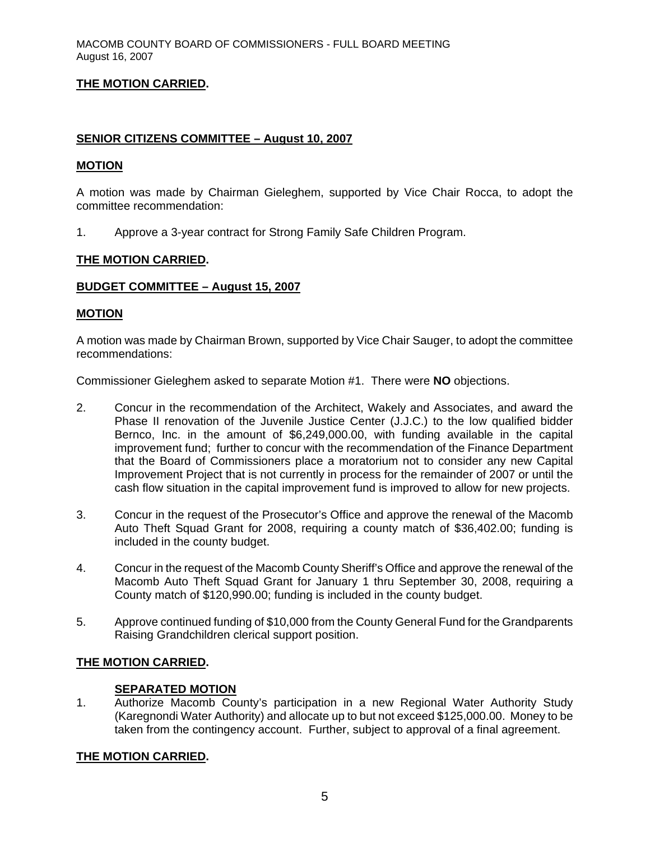# **THE MOTION CARRIED.**

### **SENIOR CITIZENS COMMITTEE – August 10, 2007**

### **MOTION**

A motion was made by Chairman Gieleghem, supported by Vice Chair Rocca, to adopt the committee recommendation:

1. Approve a 3-year contract for Strong Family Safe Children Program.

### **THE MOTION CARRIED.**

#### **BUDGET COMMITTEE – August 15, 2007**

#### **MOTION**

A motion was made by Chairman Brown, supported by Vice Chair Sauger, to adopt the committee recommendations:

Commissioner Gieleghem asked to separate Motion #1. There were **NO** objections.

- 2. Concur in the recommendation of the Architect, Wakely and Associates, and award the Phase II renovation of the Juvenile Justice Center (J.J.C.) to the low qualified bidder Bernco, Inc. in the amount of \$6,249,000.00, with funding available in the capital improvement fund; further to concur with the recommendation of the Finance Department that the Board of Commissioners place a moratorium not to consider any new Capital Improvement Project that is not currently in process for the remainder of 2007 or until the cash flow situation in the capital improvement fund is improved to allow for new projects.
- 3. Concur in the request of the Prosecutor's Office and approve the renewal of the Macomb Auto Theft Squad Grant for 2008, requiring a county match of \$36,402.00; funding is included in the county budget.
- 4. Concur in the request of the Macomb County Sheriff's Office and approve the renewal of the Macomb Auto Theft Squad Grant for January 1 thru September 30, 2008, requiring a County match of \$120,990.00; funding is included in the county budget.
- 5. Approve continued funding of \$10,000 from the County General Fund for the Grandparents Raising Grandchildren clerical support position.

## **THE MOTION CARRIED.**

#### **SEPARATED MOTION**

1. Authorize Macomb County's participation in a new Regional Water Authority Study (Karegnondi Water Authority) and allocate up to but not exceed \$125,000.00. Money to be taken from the contingency account. Further, subject to approval of a final agreement.

#### **THE MOTION CARRIED.**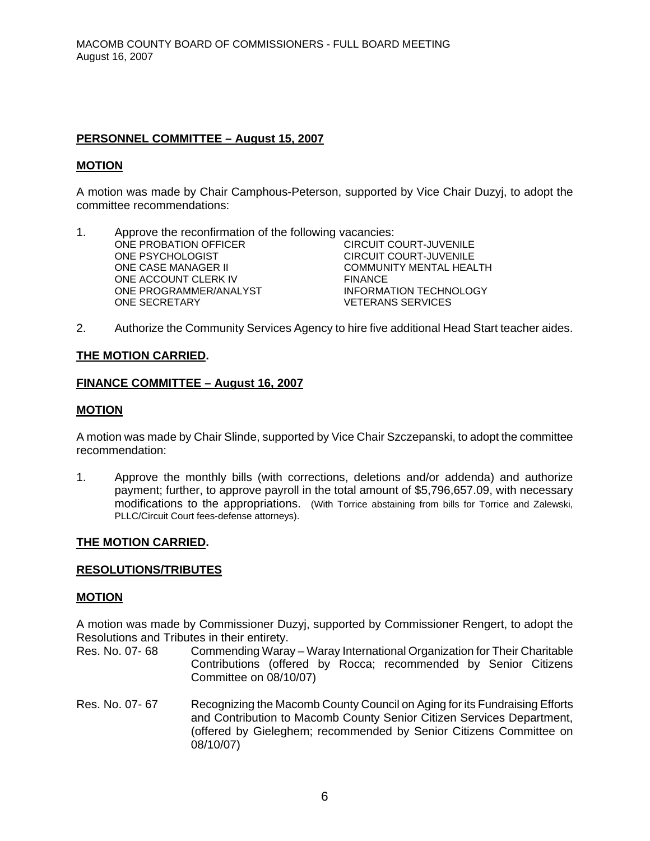## **PERSONNEL COMMITTEE – August 15, 2007**

#### **MOTION**

A motion was made by Chair Camphous-Peterson, supported by Vice Chair Duzyj, to adopt the committee recommendations:

- 1. Approve the reconfirmation of the following vacancies: ONE PROBATION OFFICER CIRCUIT COURT-JUVENILE<br>ONE PSYCHOLOGIST CIRCUIT COURT-JUVENILE CIRCUIT COURT-JUVENILE ONE CASE MANAGER II COMMUNITY MENTAL HEALTH ONE ACCOUNT CLERK IV ONE PROGRAMMER/ANALYST INFORMATION TECHNOLOGY ONE SECRETARY VETERANS SERVICES
- 2. Authorize the Community Services Agency to hire five additional Head Start teacher aides.

### **THE MOTION CARRIED.**

#### **FINANCE COMMITTEE – August 16, 2007**

#### **MOTION**

A motion was made by Chair Slinde, supported by Vice Chair Szczepanski, to adopt the committee recommendation:

1. Approve the monthly bills (with corrections, deletions and/or addenda) and authorize payment; further, to approve payroll in the total amount of \$5,796,657.09, with necessary modifications to the appropriations. (With Torrice abstaining from bills for Torrice and Zalewski, PLLC/Circuit Court fees-defense attorneys).

#### **THE MOTION CARRIED.**

#### **RESOLUTIONS/TRIBUTES**

#### **MOTION**

A motion was made by Commissioner Duzyj, supported by Commissioner Rengert, to adopt the Resolutions and Tributes in their entirety.

- Res. No. 07- 68 Commending Waray Waray International Organization for Their Charitable Contributions (offered by Rocca; recommended by Senior Citizens Committee on 08/10/07)
- Res. No. 07- 67 Recognizing the Macomb County Council on Aging for its Fundraising Efforts and Contribution to Macomb County Senior Citizen Services Department, (offered by Gieleghem; recommended by Senior Citizens Committee on 08/10/07)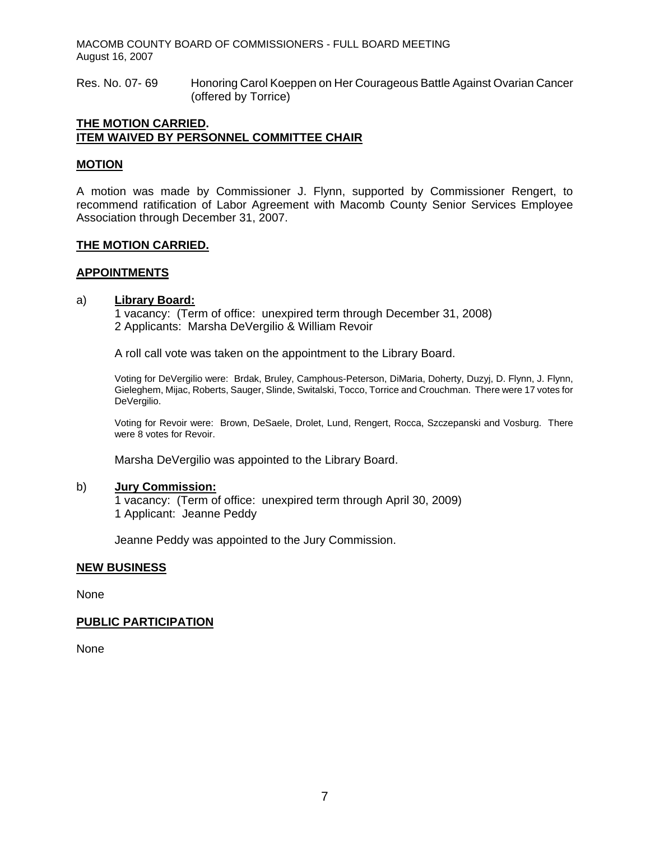MACOMB COUNTY BOARD OF COMMISSIONERS - FULL BOARD MEETING August 16, 2007

Res. No. 07- 69 Honoring Carol Koeppen on Her Courageous Battle Against Ovarian Cancer (offered by Torrice)

#### **THE MOTION CARRIED. ITEM WAIVED BY PERSONNEL COMMITTEE CHAIR**

#### **MOTION**

A motion was made by Commissioner J. Flynn, supported by Commissioner Rengert, to recommend ratification of Labor Agreement with Macomb County Senior Services Employee Association through December 31, 2007.

#### **THE MOTION CARRIED.**

#### **APPOINTMENTS**

#### a) **Library Board:**

1 vacancy: (Term of office: unexpired term through December 31, 2008) 2 Applicants: Marsha DeVergilio & William Revoir

A roll call vote was taken on the appointment to the Library Board.

Voting for DeVergilio were: Brdak, Bruley, Camphous-Peterson, DiMaria, Doherty, Duzyj, D. Flynn, J. Flynn, Gieleghem, Mijac, Roberts, Sauger, Slinde, Switalski, Tocco, Torrice and Crouchman. There were 17 votes for DeVergilio.

Voting for Revoir were: Brown, DeSaele, Drolet, Lund, Rengert, Rocca, Szczepanski and Vosburg. There were 8 votes for Revoir.

Marsha DeVergilio was appointed to the Library Board.

#### b) **Jury Commission:**

1 vacancy: (Term of office: unexpired term through April 30, 2009) 1 Applicant: Jeanne Peddy

Jeanne Peddy was appointed to the Jury Commission.

#### **NEW BUSINESS**

None

#### **PUBLIC PARTICIPATION**

None